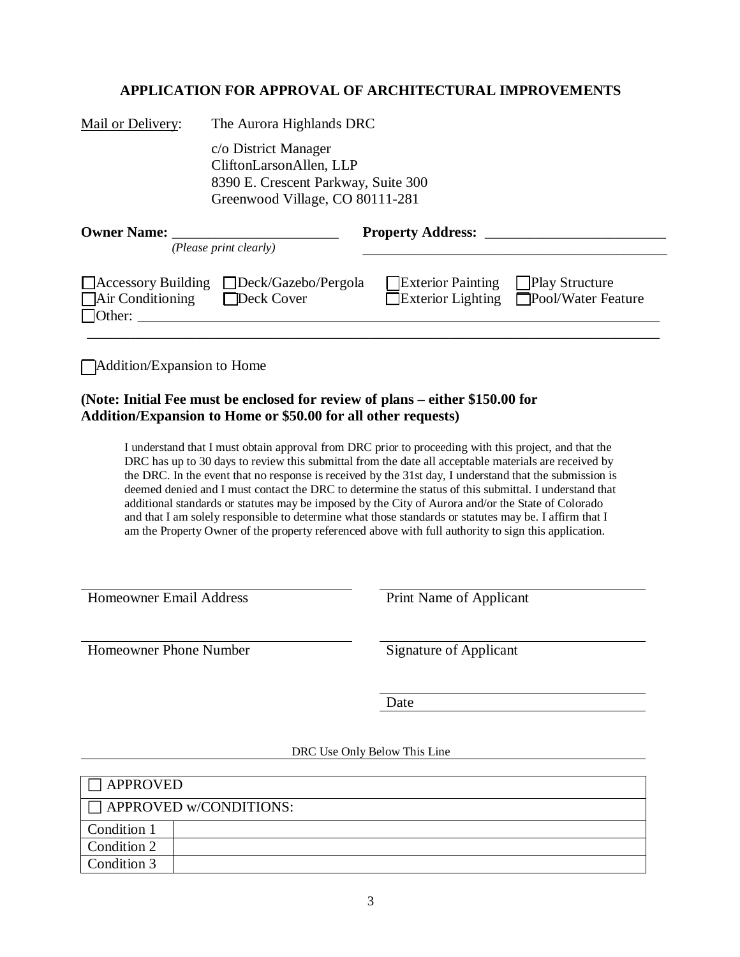## **APPLICATION FOR APPROVAL OF ARCHITECTURAL IMPROVEMENTS**

| c/o District Manager     |                                                                                                               |                                                                                                    |
|--------------------------|---------------------------------------------------------------------------------------------------------------|----------------------------------------------------------------------------------------------------|
|                          |                                                                                                               |                                                                                                    |
|                          |                                                                                                               |                                                                                                    |
|                          |                                                                                                               |                                                                                                    |
|                          |                                                                                                               |                                                                                                    |
| <b>Property Address:</b> |                                                                                                               |                                                                                                    |
|                          |                                                                                                               |                                                                                                    |
|                          | <b>Exterior Painting</b>                                                                                      | <b>Play Structure</b>                                                                              |
|                          |                                                                                                               | Exterior Lighting Pool/Water Feature                                                               |
|                          |                                                                                                               |                                                                                                    |
|                          |                                                                                                               |                                                                                                    |
|                          | CliftonLarsonAllen, LLP<br>(Please print clearly)<br>□ Accessory Building □ Deck/Gazebo/Pergola<br>Deck Cover | The Aurora Highlands DRC<br>8390 E. Crescent Parkway, Suite 300<br>Greenwood Village, CO 80111-281 |

Addition/Expansion to Home

## **(Note: Initial Fee must be enclosed for review of plans – either \$150.00 for Addition/Expansion to Home or \$50.00 for all other requests)**

I understand that I must obtain approval from DRC prior to proceeding with this project, and that the DRC has up to 30 days to review this submittal from the date all acceptable materials are received by the DRC. In the event that no response is received by the 31st day, I understand that the submission is deemed denied and I must contact the DRC to determine the status of this submittal. I understand that additional standards or statutes may be imposed by the City of Aurora and/or the State of Colorado and that I am solely responsible to determine what those standards or statutes may be. I affirm that I am the Property Owner of the property referenced above with full authority to sign this application.

Homeowner Email Address **Print Name of Applicant** 

Homeowner Phone Number Signature of Applicant

Date

## DRC Use Only Below This Line

| <b>APPROVED</b> |                               |
|-----------------|-------------------------------|
|                 | $\Box$ APPROVED w/CONDITIONS: |
| Condition 1     |                               |
| Condition 2     |                               |
| Condition 3     |                               |